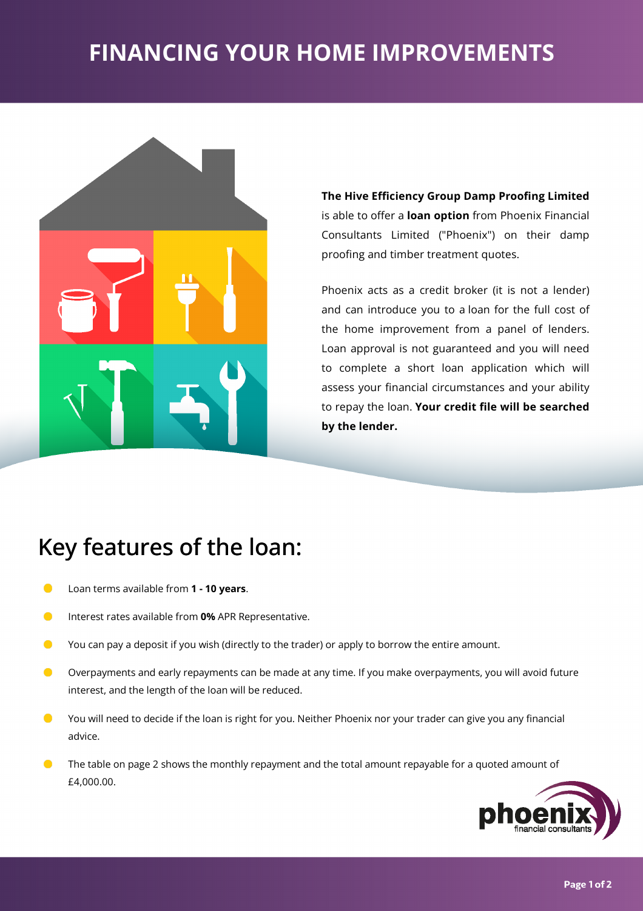# **FINANCING YOUR HOMEIMPROVEMENTS**



**The Hive Efficiency Group Damp Proofing Limited** is able to offer a **loan option** from Phoenix Financial Consultants Limited ("Phoenix") on their damp proofing and timber treatment quotes.

Phoenix acts as a credit broker (it is not a lender) and can introduce you to aloan for the full cost of the home improvement from a panel of lenders. Loan approval is not guaranteed and you will need to complete a short loan application which will assess your financial circumstances and your ability to repay the loan. **Your credit 'le will be searched bythe lender.**

## Key features of the loan:

- $\bullet$ Loan terms available from 1 - 10 years.
- $\bullet$ Interest rates available from 0% APR Representative.
- You can pay a deposit if you wish (directly to the trader) or apply to borrow the entire amount.  $\bullet$
- $\bullet$ Overpayments and early repayments can be made at any time. If you make overpayments, you will avoid future interest, and the length of the loan will be reduced.
- You will need to decide if the loan is right for you. Neither Phoenix nor your trader can give you any financial  $\bullet$ advice.
- $\bullet$ The table on page 2 shows the monthly repayment and the total amount repayable for a quoted amount of £4,000.00.